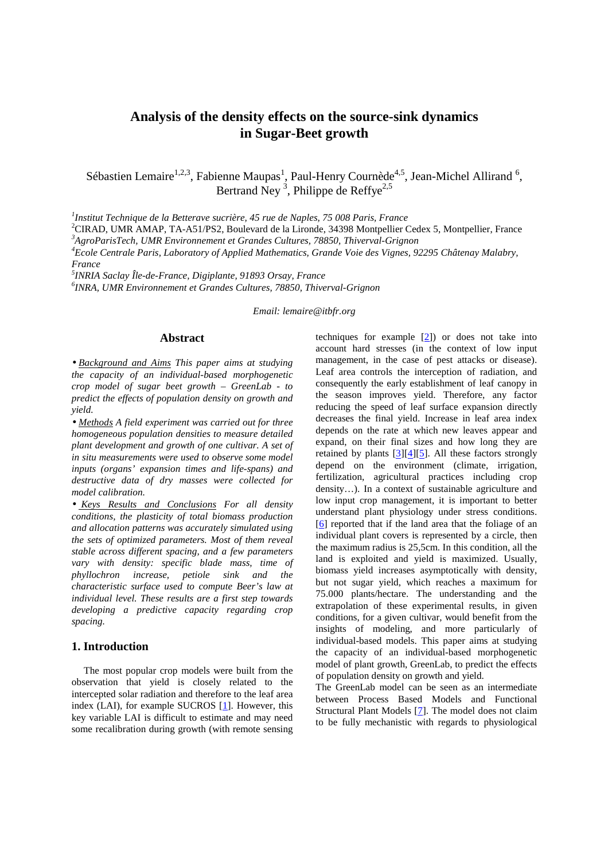# **Analysis of the density effects on the source-sink dynamics in Sugar-Beet growth**

Sébastien Lemaire<sup>1,2,3</sup>, Fabienne Maupas<sup>1</sup>, Paul-Henry Cournède<sup>4,5</sup>, Jean-Michel Allirand<sup>6</sup>, Bertrand Ney<sup>3</sup>, Philippe de Reffye<sup>2,5</sup>

*1 Institut Technique de la Betterave sucrière, 45 rue de Naples, 75 008 Paris, France* 

<sup>2</sup>CIRAD, UMR AMAP, TA-A51/PS2, Boulevard de la Lironde, 34398 Montpellier Cedex 5, Montpellier, France *<sup>3</sup>AgroParisTech, UMR Environnement et Grandes Cultures, 78850, Thiverval-Grignon* 

*<sup>4</sup>Ecole Centrale Paris, Laboratory of Applied Mathematics, Grande Voie des Vignes, 92295 Châtenay Malabry, France* 

*5 INRIA Saclay Île-de-France, Digiplante, 91893 Orsay, France* 

*6 INRA, UMR Environnement et Grandes Cultures, 78850, Thiverval-Grignon* 

*Email: lemaire@itbfr.org* 

### **Abstract**

• *Background and Aims This paper aims at studying the capacity of an individual-based morphogenetic crop model of sugar beet growth – GreenLab - to predict the effects of population density on growth and yield.* 

• *Methods A field experiment was carried out for three homogeneous population densities to measure detailed plant development and growth of one cultivar. A set of in situ measurements were used to observe some model inputs (organs' expansion times and life-spans) and destructive data of dry masses were collected for model calibration.* 

• *Keys Results and Conclusions For all density conditions, the plasticity of total biomass production and allocation patterns was accurately simulated using the sets of optimized parameters. Most of them reveal stable across different spacing, and a few parameters vary with density: specific blade mass, time of phyllochron increase, petiole sink and the characteristic surface used to compute Beer's law at individual level. These results are a first step towards developing a predictive capacity regarding crop spacing.* 

# **1. Introduction**

The most popular crop models were built from the observation that yield is closely related to the intercepted solar radiation and therefore to the leaf area index (LAI), for example SUCROS [1]. However, this key variable LAI is difficult to estimate and may need some recalibration during growth (with remote sensing techniques for example  $[2]$ ) or does not take into account hard stresses (in the context of low input management, in the case of pest attacks or disease). Leaf area controls the interception of radiation, and consequently the early establishment of leaf canopy in the season improves yield. Therefore, any factor reducing the speed of leaf surface expansion directly decreases the final yield. Increase in leaf area index depends on the rate at which new leaves appear and expand, on their final sizes and how long they are retained by plants  $[3][4][5]$ . All these factors strongly depend on the environment (climate, irrigation, fertilization, agricultural practices including crop density…). In a context of sustainable agriculture and low input crop management, it is important to better understand plant physiology under stress conditions. [6] reported that if the land area that the foliage of an individual plant covers is represented by a circle, then the maximum radius is 25,5cm. In this condition, all the land is exploited and yield is maximized. Usually, biomass yield increases asymptotically with density, but not sugar yield, which reaches a maximum for 75.000 plants/hectare. The understanding and the extrapolation of these experimental results, in given conditions, for a given cultivar, would benefit from the insights of modeling, and more particularly of individual-based models. This paper aims at studying the capacity of an individual-based morphogenetic model of plant growth, GreenLab, to predict the effects of population density on growth and yield.

The GreenLab model can be seen as an intermediate between Process Based Models and Functional Structural Plant Models [7]. The model does not claim to be fully mechanistic with regards to physiological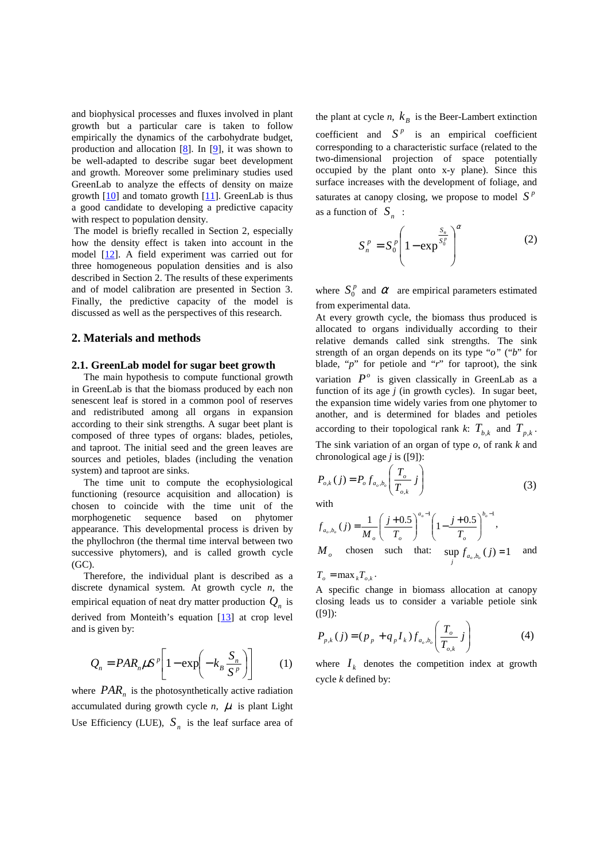and biophysical processes and fluxes involved in plant growth but a particular care is taken to follow empirically the dynamics of the carbohydrate budget, production and allocation [8]. In [9], it was shown to be well-adapted to describe sugar beet development and growth. Moreover some preliminary studies used GreenLab to analyze the effects of density on maize growth  $[10]$  and tomato growth  $[11]$ . GreenLab is thus a good candidate to developing a predictive capacity with respect to population density.

 The model is briefly recalled in Section 2, especially how the density effect is taken into account in the model [12]. A field experiment was carried out for three homogeneous population densities and is also described in Section 2. The results of these experiments and of model calibration are presented in Section 3. Finally, the predictive capacity of the model is discussed as well as the perspectives of this research.

#### **2. Materials and methods**

### **2.1. GreenLab model for sugar beet growth**

The main hypothesis to compute functional growth in GreenLab is that the biomass produced by each non senescent leaf is stored in a common pool of reserves and redistributed among all organs in expansion according to their sink strengths. A sugar beet plant is composed of three types of organs: blades, petioles, and taproot. The initial seed and the green leaves are sources and petioles, blades (including the venation system) and taproot are sinks.

The time unit to compute the ecophysiological functioning (resource acquisition and allocation) is chosen to coincide with the time unit of the morphogenetic sequence based on phytomer appearance. This developmental process is driven by the phyllochron (the thermal time interval between two successive phytomers), and is called growth cycle  $(GC)$ .

Therefore, the individual plant is described as a discrete dynamical system. At growth cycle *n*, the empirical equation of neat dry matter production  $Q_n$  is derived from Monteith's equation [13] at crop level and is given by:

$$
Q_n = P A R_n \mu S^p \left[ 1 - \exp \left( -k_B \frac{S_n}{S^p} \right) \right] \qquad (1)
$$

where  $PAR_n$  is the photosynthetically active radiation accumulated during growth cycle  $n$ ,  $\mu$  is plant Light Use Efficiency (LUE),  $S<sub>n</sub>$  is the leaf surface area of

the plant at cycle  $n$ ,  $k_B$  is the Beer-Lambert extinction coefficient and  $S<sup>p</sup>$  is an empirical coefficient corresponding to a characteristic surface (related to the two-dimensional projection of space potentially occupied by the plant onto x-y plane). Since this surface increases with the development of foliage, and saturates at canopy closing, we propose to model  $S<sup>p</sup>$ as a function of  $S_n$ :

$$
S_n^p = S_0^p \left( 1 - \exp^{\frac{S_n}{S_0^p}} \right)^\alpha \tag{2}
$$

where  $S_0^p$  and  $\alpha$  are empirical parameters estimated from experimental data.

At every growth cycle, the biomass thus produced is allocated to organs individually according to their relative demands called sink strengths. The sink strength of an organ depends on its type "*o"* ("*b*" for blade, "*p*" for petiole and "*r*" for taproot), the sink variation  $P^{\circ}$  is given classically in GreenLab as a function of its age *j* (in growth cycles). In sugar beet, the expansion time widely varies from one phytomer to another, and is determined for blades and petioles according to their topological rank *k*:  $T_{b,k}$  and  $T_{p,k}$ . The sink variation of an organ of type *o*, of rank *k* and chronological age *j* is ([9]):

$$
P_{o,k}(j) = P_o f_{a_o, b_o} \left( \frac{T_o}{T_{o,k}} j \right)
$$
 (3)

with

$$
f_{a_o, b_o}(j) = \frac{1}{M_o} \left( \frac{j + 0.5}{T_o} \right)^{a_o - 1} \left( 1 - \frac{j + 0.5}{T_o} \right)^{b_o - 1},
$$
  
M<sub>o</sub> chosen such that:  $\sup_{j} f_{a_o, b_o}(j) = 1$  and

 $T_o = \max_k T_{o,k}$ .

A specific change in biomass allocation at canopy closing leads us to consider a variable petiole sink ([9]):

$$
P_{p,k}(j) = (p_p + q_p I_k) f_{a_o, b_o} \left( \frac{T_o}{T_{o,k}} j \right)
$$
 (4)

where  $I_k$  denotes the competition index at growth cycle *k* defined by: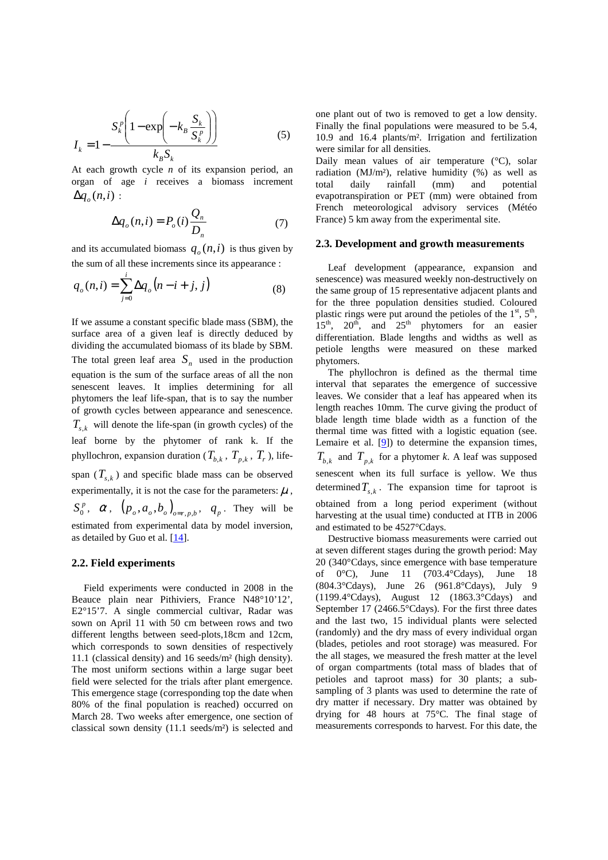$$
I_{k} = 1 - \frac{S_{k}^{p} \left(1 - \exp\left(-k_{B} \frac{S_{k}}{S_{k}^{p}}\right)\right)}{k_{B} S_{k}}
$$
(5)

At each growth cycle *n* of its expansion period, an organ of age *i* receives a biomass increment  $\Delta q_o(n,i):$ 

$$
\Delta q_o(n,i) = P_o(i) \frac{Q_n}{D_n} \tag{7}
$$

and its accumulated biomass  $q_o(n,i)$  is thus given by the sum of all these increments since its appearance :

$$
q_o(n,i) = \sum_{j=0}^{i} \Delta q_o(n-i+j,j)
$$
 (8)

If we assume a constant specific blade mass (SBM), the surface area of a given leaf is directly deduced by dividing the accumulated biomass of its blade by SBM. The total green leaf area  $S_n$  used in the production equation is the sum of the surface areas of all the non senescent leaves. It implies determining for all phytomers the leaf life-span, that is to say the number of growth cycles between appearance and senescence.  $T_{s,k}$  will denote the life-span (in growth cycles) of the leaf borne by the phytomer of rank k. If the phyllochron, expansion duration ( $T_{b,k}$ ,  $T_{p,k}$ ,  $T_r$ ), lifespan  $(T_{s,k})$  and specific blade mass can be observed experimentally, it is not the case for the parameters:  $\mu$ ,  $S_0^p$ ,  $\alpha$ ,  $(p_o, a_o, b_o)_{o=r, p, b}$ ,  $q_p$ . They will be estimated from experimental data by model inversion, as detailed by Guo et al. [14].

### **2.2. Field experiments**

Field experiments were conducted in 2008 in the Beauce plain near Pithiviers, France N48°10'12', E2°15'7. A single commercial cultivar, Radar was sown on April 11 with 50 cm between rows and two different lengths between seed-plots,18cm and 12cm, which corresponds to sown densities of respectively 11.1 (classical density) and 16 seeds/m² (high density). The most uniform sections within a large sugar beet field were selected for the trials after plant emergence. This emergence stage (corresponding top the date when 80% of the final population is reached) occurred on March 28. Two weeks after emergence, one section of classical sown density (11.1 seeds/m²) is selected and one plant out of two is removed to get a low density. Finally the final populations were measured to be 5.4, 10.9 and 16.4 plants/m². Irrigation and fertilization were similar for all densities.

Daily mean values of air temperature (°C), solar radiation (MJ/m²), relative humidity (%) as well as total daily rainfall (mm) and potential evapotranspiration or PET (mm) were obtained from French meteorological advisory services (Météo France) 5 km away from the experimental site.

### **2.3. Development and growth measurements**

Leaf development (appearance, expansion and senescence) was measured weekly non-destructively on the same group of 15 representative adjacent plants and for the three population densities studied. Coloured plastic rings were put around the petioles of the  $1<sup>st</sup>$ ,  $5<sup>th</sup>$ ,  $15<sup>th</sup>$ ,  $20<sup>th</sup>$ , and  $25<sup>th</sup>$  phytomers for an easier differentiation. Blade lengths and widths as well as petiole lengths were measured on these marked phytomers.

The phyllochron is defined as the thermal time interval that separates the emergence of successive leaves. We consider that a leaf has appeared when its length reaches 10mm. The curve giving the product of blade length time blade width as a function of the thermal time was fitted with a logistic equation (see. Lemaire et al. [9]) to determine the expansion times,  $T_{b,k}$  and  $T_{p,k}$  for a phytomer *k*. A leaf was supposed senescent when its full surface is yellow. We thus determined  $T_{s,k}$ . The expansion time for taproot is obtained from a long period experiment (without harvesting at the usual time) conducted at ITB in 2006 and estimated to be 4527°Cdays.

Destructive biomass measurements were carried out at seven different stages during the growth period: May 20 (340°Cdays, since emergence with base temperature of 0°C), June 11 (703.4°Cdays), June 18 (804.3°Cdays), June 26 (961.8°Cdays), July 9 (1199.4°Cdays), August 12 (1863.3°Cdays) and September 17 (2466.5°Cdays). For the first three dates and the last two, 15 individual plants were selected (randomly) and the dry mass of every individual organ (blades, petioles and root storage) was measured. For the all stages, we measured the fresh matter at the level of organ compartments (total mass of blades that of petioles and taproot mass) for 30 plants; a subsampling of 3 plants was used to determine the rate of dry matter if necessary. Dry matter was obtained by drying for 48 hours at 75°C. The final stage of measurements corresponds to harvest. For this date, the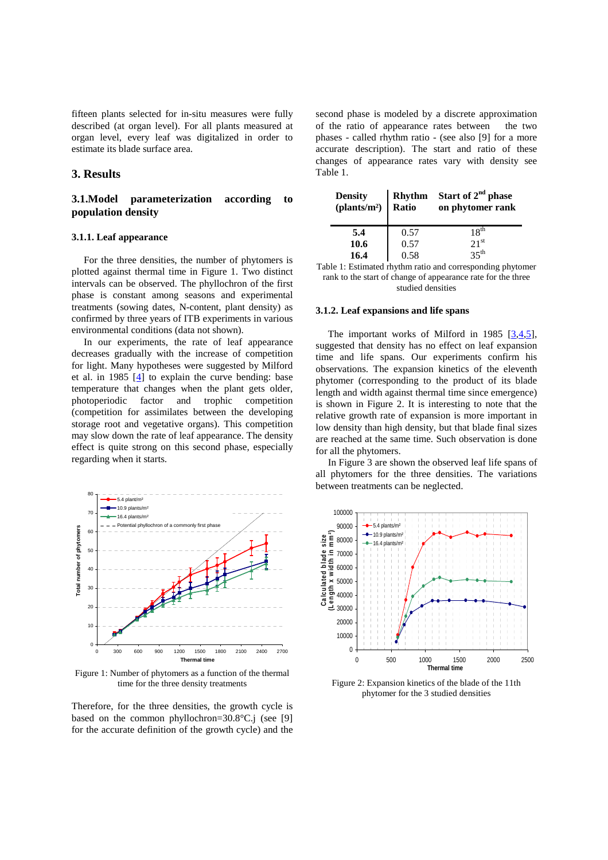fifteen plants selected for in-situ measures were fully described (at organ level). For all plants measured at organ level, every leaf was digitalized in order to estimate its blade surface area.

### **3. Results**

## **3.1.Model parameterization according to population density**

### **3.1.1. Leaf appearance**

For the three densities, the number of phytomers is plotted against thermal time in Figure 1. Two distinct intervals can be observed. The phyllochron of the first phase is constant among seasons and experimental treatments (sowing dates, N-content, plant density) as confirmed by three years of ITB experiments in various environmental conditions (data not shown).

In our experiments, the rate of leaf appearance decreases gradually with the increase of competition for light. Many hypotheses were suggested by Milford et al. in 1985 [4] to explain the curve bending: base temperature that changes when the plant gets older, photoperiodic factor and trophic competition (competition for assimilates between the developing storage root and vegetative organs). This competition may slow down the rate of leaf appearance. The density effect is quite strong on this second phase, especially regarding when it starts.



Figure 1: Number of phytomers as a function of the thermal time for the three density treatments

Therefore, for the three densities, the growth cycle is based on the common phyllochron=30.8°C.j (see [9] for the accurate definition of the growth cycle) and the

second phase is modeled by a discrete approximation of the ratio of appearance rates between the two phases - called rhythm ratio - (see also [9] for a more accurate description). The start and ratio of these changes of appearance rates vary with density see Table 1.

| <b>Density</b><br>(plants/m <sup>2</sup> ) Ratio | Rhythm | Start of 2 <sup>nd</sup> phase<br>on phytomer rank |
|--------------------------------------------------|--------|----------------------------------------------------|
| 5.4                                              | 0.57   | 18 <sup>th</sup>                                   |
| 10.6                                             | 0.57   | 21 <sup>st</sup>                                   |
| 16.4                                             | 0.58   | 35 <sup>th</sup>                                   |

Table 1: Estimated rhythm ratio and corresponding phytomer rank to the start of change of appearance rate for the three studied densities

#### **3.1.2. Leaf expansions and life spans**

The important works of Milford in 1985  $[3,4,5]$ , suggested that density has no effect on leaf expansion time and life spans. Our experiments confirm his observations. The expansion kinetics of the eleventh phytomer (corresponding to the product of its blade length and width against thermal time since emergence) is shown in Figure 2. It is interesting to note that the relative growth rate of expansion is more important in low density than high density, but that blade final sizes are reached at the same time. Such observation is done for all the phytomers.

In Figure 3 are shown the observed leaf life spans of all phytomers for the three densities. The variations between treatments can be neglected.



Figure 2: Expansion kinetics of the blade of the 11th phytomer for the 3 studied densities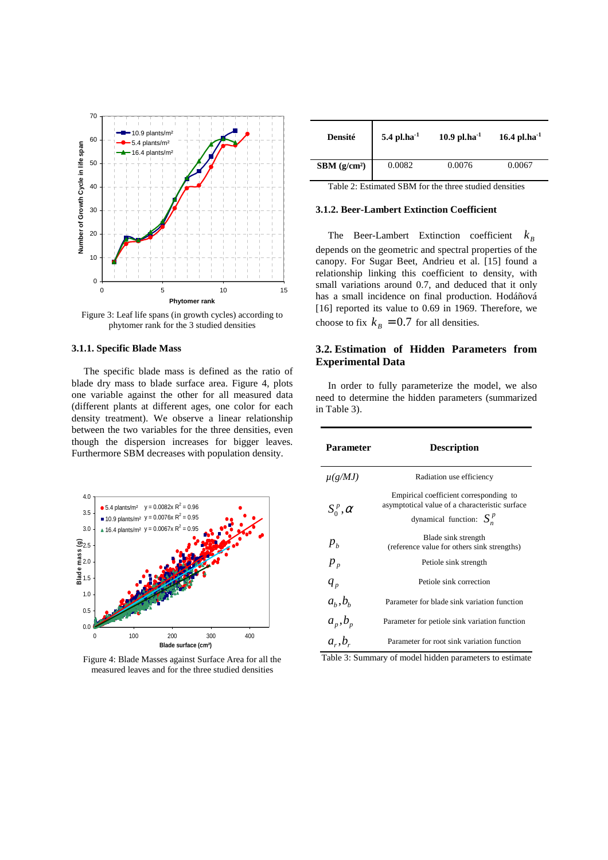

Figure 3: Leaf life spans (in growth cycles) according to phytomer rank for the 3 studied densities

#### **3.1.1. Specific Blade Mass**

The specific blade mass is defined as the ratio of blade dry mass to blade surface area. Figure 4, plots one variable against the other for all measured data (different plants at different ages, one color for each density treatment). We observe a linear relationship between the two variables for the three densities, even though the dispersion increases for bigger leaves. Furthermore SBM decreases with population density.



Figure 4: Blade Masses against Surface Area for all the measured leaves and for the three studied densities

| Densité           | 5.4 pl.ha <sup>-1</sup> | $10.9$ pl.ha <sup>-1</sup> | $16.4$ pl.ha <sup>-1</sup> |
|-------------------|-------------------------|----------------------------|----------------------------|
| $SBM$ ( $g/cm2$ ) | 0.0082                  | 0.0076                     | 0.0067                     |

Table 2: Estimated SBM for the three studied densities

### **3.1.2. Beer-Lambert Extinction Coefficient**

The Beer-Lambert Extinction coefficient *<sup>B</sup> k* depends on the geometric and spectral properties of the canopy. For Sugar Beet, Andrieu et al. [15] found a relationship linking this coefficient to density, with small variations around 0.7, and deduced that it only has a small incidence on final production. Hodáñová [16] reported its value to 0.69 in 1969. Therefore, we choose to fix  $k_B = 0.7$  for all densities.

### **3.2. Estimation of Hidden Parameters from Experimental Data**

In order to fully parameterize the model, we also need to determine the hidden parameters (summarized in Table 3).

| Parameter       | <b>Description</b>                                                                                                      |  |  |  |
|-----------------|-------------------------------------------------------------------------------------------------------------------------|--|--|--|
| $\mu(g/MJ)$     | Radiation use efficiency                                                                                                |  |  |  |
| $S_0^p, \alpha$ | Empirical coefficient corresponding to<br>asymptotical value of a characteristic surface<br>dynamical function: $S_n^p$ |  |  |  |
| $p_{h}$         | Blade sink strength<br>(reference value for others sink strengths)                                                      |  |  |  |
| $p_{p}$         | Petiole sink strength                                                                                                   |  |  |  |
| $q_{p}$         | Petiole sink correction                                                                                                 |  |  |  |
| $a_b$ , $b_b$   | Parameter for blade sink variation function                                                                             |  |  |  |
| $a_p$ , $b_p$   | Parameter for petiole sink variation function                                                                           |  |  |  |
| $a_r$ , $b_r$   | Parameter for root sink variation function                                                                              |  |  |  |

Table 3: Summary of model hidden parameters to estimate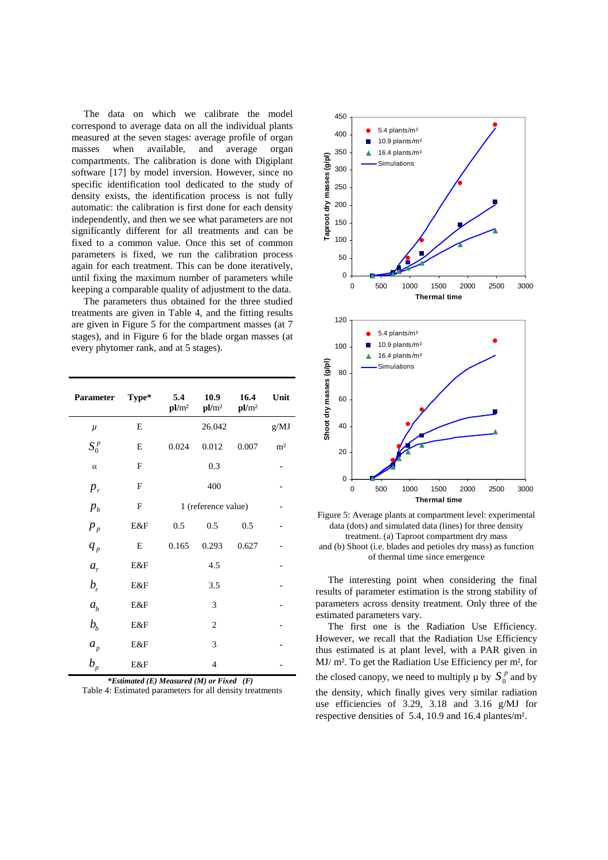The data on which we calibrate the model correspond to average data on all the individual plants measured at the seven stages: average profile of organ masses when available, and average organ compartments. The calibration is done with Digiplant software [17] by model inversion. However, since no specific identification tool dedicated to the study of density exists, the identification process is not fully automatic: the calibration is first done for each density independently, and then we see what parameters are not significantly different for all treatments and can be fixed to a common value. Once this set of common parameters is fixed, we run the calibration process again for each treatment. This can be done iteratively, until fixing the maximum number of parameters while keeping a comparable quality of adjustment to the data.

The parameters thus obtained for the three studied treatments are given in Table 4, and the fitting results are given in Figure 5 for the compartment masses (at 7 stages), and in Figure 6 for the blade organ masses (at every phytomer rank, and at 5 stages).

| Parameter      | Type*       | 5.4<br>pl/m <sup>2</sup> | 10.9<br>pl/m <sup>2</sup> | 16.4<br>pl/m <sup>2</sup> | Unit           |
|----------------|-------------|--------------------------|---------------------------|---------------------------|----------------|
| $\mu$          | E           |                          | 26.042                    |                           | g/MJ           |
| $S_0^p$        | E           | 0.024                    | 0.012                     | 0.007                     | m <sup>2</sup> |
| $\alpha$       | $\mathbf F$ |                          | 0.3                       |                           |                |
| $p_r$          | F           |                          | 400                       |                           |                |
| $p_{b}$        | F           | 1 (reference value)      |                           |                           |                |
| $p_{p}$        | E&F         | 0.5                      | 0.5                       | 0.5                       |                |
| $q_{p}$        | E           | 0.165                    | 0.293                     | 0.627                     |                |
| $a_{r}$        | E&F         |                          |                           |                           |                |
| $b_{r}$        | E&F         |                          |                           |                           |                |
| $a_{h}$        | E&F         |                          |                           |                           |                |
| b <sub>b</sub> | E&F         |                          |                           |                           |                |
| $a_p$          | E&F         | 3                        |                           |                           |                |
| $b_{p}$        | E&F         |                          | 4                         |                           |                |

*\*Estimated (E) Measured (M) or Fixed (F)*  Table 4: Estimated parameters for all density treatments



Figure 5: Average plants at compartment level: experimental data (dots) and simulated data (lines) for three density treatment. (a) Taproot compartment dry mass and (b) Shoot (i.e. blades and petioles dry mass) as function of thermal time since emergence

The interesting point when considering the final results of parameter estimation is the strong stability of parameters across density treatment. Only three of the estimated parameters vary.

The first one is the Radiation Use Efficiency. However, we recall that the Radiation Use Efficiency thus estimated is at plant level, with a PAR given in MJ/ m². To get the Radiation Use Efficiency per m², for the closed canopy, we need to multiply  $\mu$  by  $S_0^p$  and by the density, which finally gives very similar radiation use efficiencies of 3.29, 3.18 and 3.16 g/MJ for respective densities of 5.4, 10.9 and 16.4 plantes/m².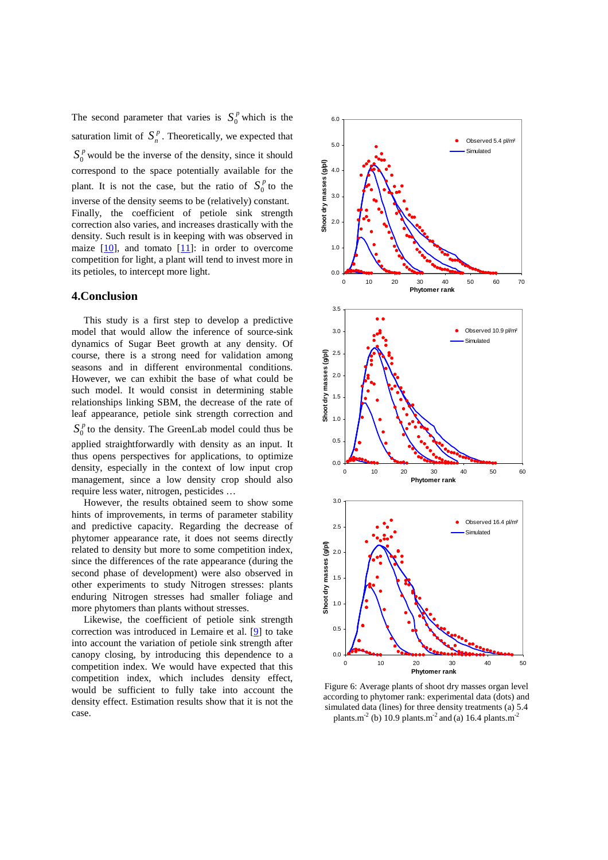The second parameter that varies is  $S_0^p$  which is the saturation limit of  $S_n^p$ . Theoretically, we expected that  $S_0^p$  would be the inverse of the density, since it should correspond to the space potentially available for the plant. It is not the case, but the ratio of  $S_0^p$  to the inverse of the density seems to be (relatively) constant. Finally, the coefficient of petiole sink strength correction also varies, and increases drastically with the density. Such result is in keeping with was observed in maize  $[10]$ , and tomato  $[11]$ : in order to overcome competition for light, a plant will tend to invest more in its petioles, to intercept more light.

### **4.Conclusion**

This study is a first step to develop a predictive model that would allow the inference of source-sink dynamics of Sugar Beet growth at any density. Of course, there is a strong need for validation among seasons and in different environmental conditions. However, we can exhibit the base of what could be such model. It would consist in determining stable relationships linking SBM, the decrease of the rate of leaf appearance, petiole sink strength correction and  $S_0^p$  to the density. The GreenLab model could thus be applied straightforwardly with density as an input. It thus opens perspectives for applications, to optimize density, especially in the context of low input crop management, since a low density crop should also require less water, nitrogen, pesticides … However, the results obtained seem to show some

hints of improvements, in terms of parameter stability and predictive capacity. Regarding the decrease of phytomer appearance rate, it does not seems directly related to density but more to some competition index, since the differences of the rate appearance (during the second phase of development) were also observed in other experiments to study Nitrogen stresses: plants enduring Nitrogen stresses had smaller foliage and more phytomers than plants without stresses.

Likewise, the coefficient of petiole sink strength correction was introduced in Lemaire et al. [9] to take into account the variation of petiole sink strength after canopy closing, by introducing this dependence to a competition index. We would have expected that this competition index, which includes density effect, would be sufficient to fully take into account the density effect. Estimation results show that it is not the case.



Figure 6: Average plants of shoot dry masses organ level according to phytomer rank: experimental data (dots) and simulated data (lines) for three density treatments (a) 5.4 plants.m<sup>-2</sup> (b) 10.9 plants.m<sup>-2</sup> and (a) 16.4 plants.m<sup>-2</sup>